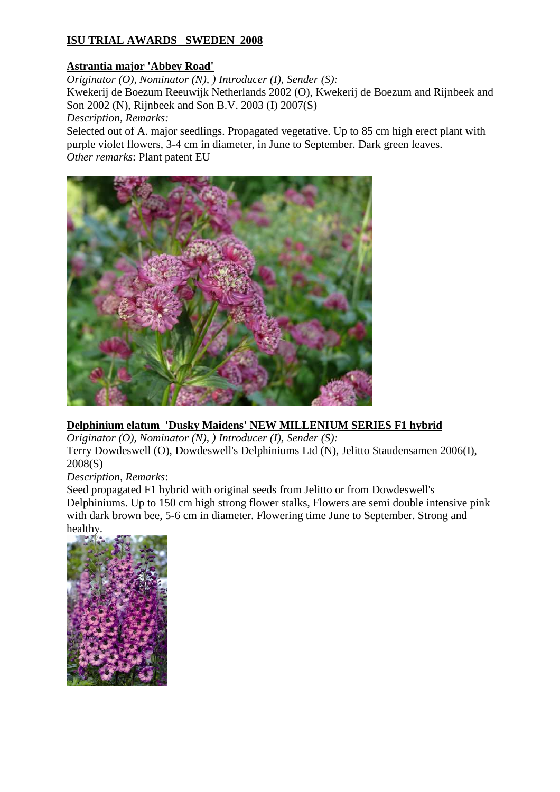# **ISU TRIAL AWARDS SWEDEN 2008**

## **Astrantia major 'Abbey Road'**

*Originator (O), Nominator (N), ) Introducer (I), Sender (S):*

Kwekerij de Boezum Reeuwijk Netherlands 2002 (O), Kwekerij de Boezum and Rijnbeek and Son 2002 (N), Rijnbeek and Son B.V. 2003 (I) 2007(S)

*Description, Remarks:* 

Selected out of A. major seedlings. Propagated vegetative. Up to 85 cm high erect plant with purple violet flowers, 3-4 cm in diameter, in June to September. Dark green leaves. *Other remarks*: Plant patent EU



#### **Delphinium elatum 'Dusky Maidens' NEW MILLENIUM SERIES F1 hybrid**

*Originator (O), Nominator (N), ) Introducer (I), Sender (S):*  Terry Dowdeswell (O), Dowdeswell's Delphiniums Ltd (N), Jelitto Staudensamen 2006(I), 2008(S)

*Description, Remarks*:

Seed propagated F1 hybrid with original seeds from Jelitto or from Dowdeswell's Delphiniums. Up to 150 cm high strong flower stalks, Flowers are semi double intensive pink with dark brown bee, 5-6 cm in diameter. Flowering time June to September. Strong and healthy.